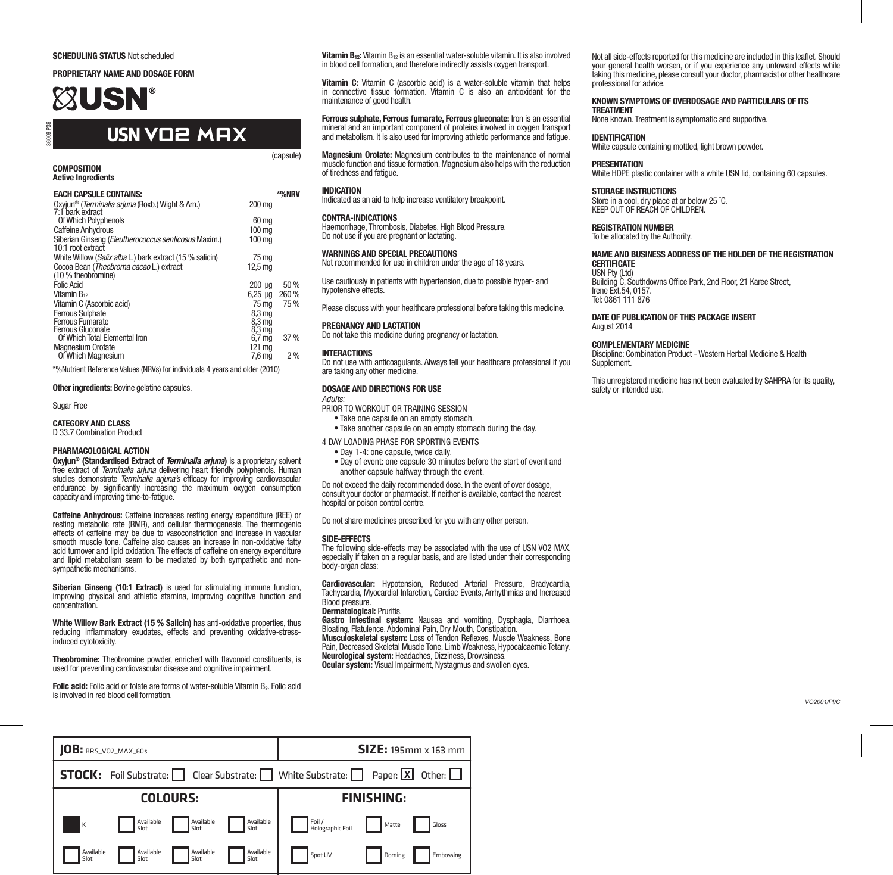### SCHEDULING STATUS Not scheduled

### PROPRIETARY NAME AND DOSAGE FORM

# **XUSN**

### **USN** VO2 MAX

**COMPOSITION** Active Ingredients

36009 P36

| <b>EACH CAPSULE CONTAINS:</b>                                        |                    | *%NRV |
|----------------------------------------------------------------------|--------------------|-------|
| Oxyjun <sup>®</sup> ( <i>Terminalia arjuna</i> (Roxb.) Wight & Arn.) | 200 ma             |       |
| 7:1 bark extract<br>Of Which Polyphenols                             | 60 ma              |       |
| <b>Caffeine Anhydrous</b>                                            | 100 ma             |       |
|                                                                      |                    |       |
| Siberian Ginseng (Eleutherococcus senticosus Maxim.)                 | 100 ma             |       |
| 10:1 root extract                                                    |                    |       |
| White Willow (Salix alba L.) bark extract (15 % salicin)             | 75 ma              |       |
| Cocoa Bean (Theobroma cacao L.) extract                              | 12.5 <sub>ma</sub> |       |
| (10 % theobromine)                                                   |                    |       |
| <b>Folic Acid</b>                                                    | $200 \mu q$        | 50 %  |
| Vitamin B <sub>12</sub>                                              | $6.25$ ua          | 260 % |
| Vitamin C (Ascorbic acid)                                            | 75 ma              | 75%   |
| Ferrous Sulphate                                                     | 8.3 ma             |       |
| Ferrous Fumarate                                                     | 8.3 <sub>m</sub>   |       |
| Ferrous Gluconate                                                    | 8.3 ma             |       |
| Of Which Total Elemental Iron                                        | $6,7$ mg           | 37%   |
| <b>Magnesium Orotate</b>                                             | 121 ma             |       |
| Of Which Magnesium                                                   | 7.6 mā             | 2%    |
|                                                                      |                    |       |

\*%Nutrient Reference Values (NRVs) for individuals 4 years and older (2010)

### **Other ingredients: Bovine gelatine capsules.**

Sugar Free

CATEGORY AND CLASS

D 33.7 Combination Product

### PHARMACOLOGICAL ACTION

Oxyjun® (Standardised Extract of *Terminalia arjuna*) is a proprietary solvent free extract of *Terminalia arjuna* delivering heart friendly polyphenols. Human studies demonstrate *Terminalia arjuna's* efficacy for improving cardiovascular endurance by significantly increasing the maximum oxygen consumption capacity and improving time-to-fatigue.

Caffeine Anhydrous: Caffeine increases resting energy expenditure (REE) or resting metabolic rate (RMR), and cellular thermogenesis. The thermogenic effects of caffeine may be due to vasoconstriction and increase in vascular smooth muscle tone. Caffeine also causes an increase in non-oxidative fatty acid turnover and lipid oxidation. The effects of caffeine on energy expenditure and lipid metabolism seem to be mediated by both sympathetic and nonsympathetic mechanisms.

Siberian Ginseng (10:1 Extract) is used for stimulating immune function, improving physical and athletic stamina, improving cognitive function and concentration.

White Willow Bark Extract (15 % Salicin) has anti-oxidative properties, thus reducing inflammatory exudates, effects and preventing oxidative-stressinduced cytotoxicity.

Theobromine: Theobromine powder, enriched with flavonoid constituents, is used for preventing cardiovascular disease and cognitive impairment.

Folic acid: Folic acid or folate are forms of water-soluble Vitamin B<sub>9</sub>. Folic acid is involved in red blood cell formation.

Vitamin B<sub>12</sub>: Vitamin B<sub>12</sub> is an essential water-soluble vitamin. It is also involved<br>in blood cell formation, and therefore indirectly assists oxygen transport.

Vitamin C: Vitamin C (ascorbic acid) is a water-soluble vitamin that helps in connective tissue formation. Vitamin C is also an antioxidant for the maintenance of good health.

Ferrous sulphate, Ferrous fumarate, Ferrous gluconate: Iron is an essential mineral and an important component of proteins involved in oxygen transport and metabolism. It is also used for improving athletic performance and fatigue.

Magnesium Orotate: Magnesium contributes to the maintenance of normal muscle function and tissue formation. Magnesium also helps with the reduction of tiredness and fatigue.

### INDICATION

(capsule)

Indicated as an aid to help increase ventilatory breakpoint.

### CONTRA-INDICATIONS

Haemorrhage, Thrombosis, Diabetes, High Blood Pressure. Do not use if you are pregnant or lactating.

### WARNINGS AND SPECIAL PRECAUTIONS

Not recommended for use in children under the age of 18 years. Use cautiously in patients with hypertension, due to possible hyper- and

hypotensive effects.

Please discuss with your healthcare professional before taking this medicine.

### PREGNANCY AND LACTATION

Do not take this medicine during pregnancy or lactation.

### INTERACTIONS

Do not use with anticoagulants. Always tell your healthcare professional if you are taking any other medicine.

### DOSAGE AND DIRECTIONS FOR USE

*Adults:* PRIOR TO WORKOUT OR TRAINING SESSION

• Take one capsule on an empty stomach.

- Take another capsule on an empty stomach during the day.
- 4 DAY LOADING PHASE FOR SPORTING EVENTS
	- Day 1-4: one capsule, twice daily.
	- Day of event: one capsule 30 minutes before the start of event and another capsule halfway through the event.

Do not exceed the daily recommended dose. In the event of over dosage, consult your doctor or pharmacist. If neither is available, contact the nearest hospital or poison control centre.

Do not share medicines prescribed for you with any other person.

### SIDE-EFFECTS

The following side-effects may be associated with the use of USN VO2 MAX, especially if taken on a regular basis, and are listed under their corresponding body-organ class:

Cardiovascular: Hypotension, Reduced Arterial Pressure, Bradycardia, Tachycardia, Myocardial Infarction, Cardiac Events, Arrhythmias and Increased Blood pressure.

### Dermatological: Pruritis.

Gastro Intestinal system: Nausea and vomiting, Dysphagia, Diarrhoea, Bloating, Flatulence, Abdominal Pain, Dry Mouth, Constipation.

Musculoskeletal system: Loss of Tendon Reflexes, Muscle Weakness, Bone Pain, Decreased Skeletal Muscle Tone, Limb Weakness, Hypocalcaemic Tetany. Neurological system: Headaches, Dizziness, Drowsiness. Ocular system: Visual Impairment, Nystagmus and swollen eyes.

Not all side-effects reported for this medicine are included in this leaflet. Should your general health worsen, or if you experience any untoward effects while taking this medicine, please consult your doctor, pharmacist or other healthcare professional for advice.

### KNOWN SYMPTOMS OF OVERDOSAGE AND PARTICULARS OF ITS **TREATMENT**

None known. Treatment is symptomatic and supportive.

### IDENTIFICATION

White capsule containing mottled, light brown powder.

### PRESENTATION

White HDPE plastic container with a white USN lid, containing 60 capsules.

### STORAGE INSTRUCTIONS

Store in a cool, dry place at or below 25 ˚C. KEEP OUT OF REACH OF CHILDREN.

### REGISTRATION NUMBER

To be allocated by the Authority.

### NAME AND BUSINESS ADDRESS OF THE HOLDER OF THE REGISTRATION CERTIFICATE

USN Pty (Ltd) Building C, Southdowns Office Park, 2nd Floor, 21 Karee Street, Irene Ext.54, 0157. Tel: 0861 111 876

### DATE OF PUBLICATION OF THIS PACKAGE INSERT August 2014

### COMPLEMENTARY MEDICINE

Discipline: Combination Product - Western Herbal Medicine & Health **Supplement** 

This unregistered medicine has not been evaluated by SAHPRA for its quality, safety or intended use.

*VO2001/PI/C*

| $ 0B:$ BRS_VO2_MAX_60s                                                                                           |                   |                   |                                                                           |                            |                   | $SIZE: 195mm \times 163mm$ |
|------------------------------------------------------------------------------------------------------------------|-------------------|-------------------|---------------------------------------------------------------------------|----------------------------|-------------------|----------------------------|
|                                                                                                                  |                   |                   |                                                                           |                            |                   |                            |
| <b>STOCK:</b> Foil Substrate: $\Box$ Clear Substrate: $\Box$ White Substrate: $\Box$ Paper: $\Box$ Other: $\Box$ |                   |                   |                                                                           |                            |                   |                            |
|                                                                                                                  |                   | <b>COLOURS:</b>   |                                                                           |                            | <b>FINISHING:</b> |                            |
| Iκ.                                                                                                              | Available<br>Slot | Available<br>Slot | Available<br>Slot                                                         | Foil /<br>Holographic Foil | Matte             | Gloss                      |
| Available<br>Slot                                                                                                | Available<br>Slot | Available<br>Slot | $\begin{tabular}{ c c } \hline \multicolumn{1}{ c }{ASlot} \end{tabular}$ | Spot UV                    | Doming            | Embossing                  |